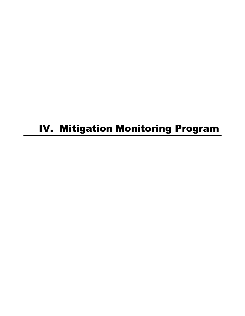# IV. Mitigation Monitoring Program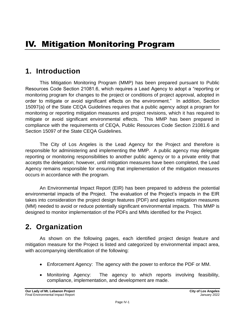# **1. Introduction**

This Mitigation Monitoring Program (MMP) has been prepared pursuant to Public Resources Code Section 21081.6, which requires a Lead Agency to adopt a "reporting or monitoring program for changes to the project or conditions of project approval, adopted in order to mitigate or avoid significant effects on the environment." In addition, Section 15097(a) of the State CEQA Guidelines requires that a public agency adopt a program for monitoring or reporting mitigation measures and project revisions, which it has required to mitigate or avoid significant environmental effects. This MMP has been prepared in compliance with the requirements of CEQA, Public Resources Code Section 21081.6 and Section 15097 of the State CEQA Guidelines.

The City of Los Angeles is the Lead Agency for the Project and therefore is responsible for administering and implementing the MMP. A public agency may delegate reporting or monitoring responsibilities to another public agency or to a private entity that accepts the delegation; however, until mitigation measures have been completed, the Lead Agency remains responsible for ensuring that implementation of the mitigation measures occurs in accordance with the program.

An Environmental Impact Report (EIR) has been prepared to address the potential environmental impacts of the Project. The evaluation of the Project's impacts in the EIR takes into consideration the project design features (PDF) and applies mitigation measures (MM) needed to avoid or reduce potentially significant environmental impacts. This MMP is designed to monitor implementation of the PDFs and MMs identified for the Project.

# **2. Organization**

As shown on the following pages, each identified project design feature and mitigation measure for the Project is listed and categorized by environmental impact area, with accompanying identification of the following:

- Enforcement Agency: The agency with the power to enforce the PDF or MM.
- Monitoring Agency: The agency to which reports involving feasibility, compliance, implementation, and development are made.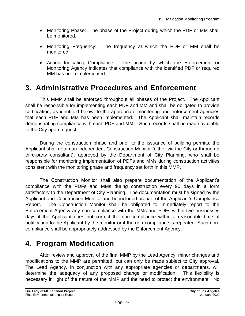- Monitoring Phase: The phase of the Project during which the PDF or MM shall be monitored.
- Monitoring Frequency: The frequency at which the PDF or MM shall be monitored.
- Action Indicating Compliance: The action by which the Enforcement or Monitoring Agency indicates that compliance with the identified PDF or required MM has been implemented.

# **3. Administrative Procedures and Enforcement**

This MMP shall be enforced throughout all phases of the Project. The Applicant shall be responsible for implementing each PDF and MM and shall be obligated to provide certification, as identified below, to the appropriate monitoring and enforcement agencies that each PDF and MM has been implemented. The Applicant shall maintain records demonstrating compliance with each PDF and MM. Such records shall be made available to the City upon request.

During the construction phase and prior to the issuance of building permits, the Applicant shall retain an independent Construction Monitor (either via the City or through a third-party consultant), approved by the Department of City Planning, who shall be responsible for monitoring implementation of PDFs and MMs during construction activities consistent with the monitoring phase and frequency set forth in this MMP.

The Construction Monitor shall also prepare documentation of the Applicant's compliance with the PDFs and MMs during construction every 90 days in a form satisfactory to the Department of City Planning. The documentation must be signed by the Applicant and Construction Monitor and be included as part of the Applicant's Compliance Report. The Construction Monitor shall be obligated to immediately report to the Enforcement Agency any non-compliance with the MMs and PDFs within two businesses days if the Applicant does not correct the non-compliance within a reasonable time of notification to the Applicant by the monitor or if the non-compliance is repeated. Such noncompliance shall be appropriately addressed by the Enforcement Agency.

# **4. Program Modification**

After review and approval of the final MMP by the Lead Agency, minor changes and modifications to the MMP are permitted, but can only be made subject to City approval. The Lead Agency, in conjunction with any appropriate agencies or departments, will determine the adequacy of any proposed change or modification. This flexibility is necessary in light of the nature of the MMP and the need to protect the environment. No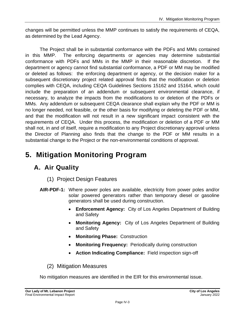changes will be permitted unless the MMP continues to satisfy the requirements of CEQA, as determined by the Lead Agency.

The Project shall be in substantial conformance with the PDFs and MMs contained in this MMP. The enforcing departments or agencies may determine substantial conformance with PDFs and MMs in the MMP in their reasonable discretion. If the department or agency cannot find substantial conformance, a PDF or MM may be modified or deleted as follows: the enforcing department or agency, or the decision maker for a subsequent discretionary project related approval finds that the modification or deletion complies with CEQA, including CEQA Guidelines Sections 15162 and 15164, which could include the preparation of an addendum or subsequent environmental clearance, if necessary, to analyze the impacts from the modifications to or deletion of the PDFs or MMs. Any addendum or subsequent CEQA clearance shall explain why the PDF or MM is no longer needed, not feasible, or the other basis for modifying or deleting the PDF or MM, and that the modification will not result in a new significant impact consistent with the requirements of CEQA. Under this process, the modification or deletion of a PDF or MM shall not, in and of itself, require a modification to any Project discretionary approval unless the Director of Planning also finds that the change to the PDF or MM results in a substantial change to the Project or the non-environmental conditions of approval.

# **5. Mitigation Monitoring Program**

# **A. Air Quality**

- (1) Project Design Features
- **AIR-PDF-1:** Where power poles are available, electricity from power poles and/or solar powered generators rather than temporary diesel or gasoline generators shall be used during construction.
	- **Enforcement Agency:** City of Los Angeles Department of Building and Safety
	- **Monitoring Agency:** City of Los Angeles Department of Building and Safety
	- **Monitoring Phase:** Construction
	- **Monitoring Frequency:** Periodically during construction
	- **Action Indicating Compliance:** Field inspection sign-off
	- (2) Mitigation Measures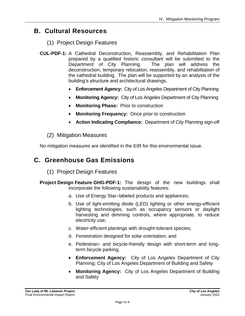# **B. Cultural Resources**

#### (1) Project Design Features

- **CUL-PDF-1:** A Cathedral Deconstruction, Reassembly, and Rehabilitation Plan prepared by a qualified historic consultant will be submitted to the Department of City Planning. The plan will address the deconstruction, temporary relocation, reassembly, and rehabilitation of the cathedral building. The plan will be supported by an analysis of the building's structure and architectural drawings.
	- **Enforcement Agency:** City of Los Angeles Department of City Planning
	- **Monitoring Agency:** City of Los Angeles Department of City Planning
	- **Monitoring Phase:** Prior to construction
	- **Monitoring Frequency:** Once prior to construction
	- **Action Indicating Compliance:** Department of City Planning sign-off

#### (2) Mitigation Measures

No mitigation measures are identified in the EIR for this environmental issue.

# **C. Greenhouse Gas Emissions**

- (1) Project Design Features
- **Project Design Feature GHG-PDF-1:** The design of the new buildings shall incorporate the following sustainability features:
	- a. Use of Energy Star–labeled products and appliances;
	- b. Use of light-emitting diode (LED) lighting or other energy-efficient lighting technologies, such as occupancy sensors or daylight harvesting and dimming controls, where appropriate, to reduce electricity use;
	- c. Water-efficient plantings with drought-tolerant species;
	- d. Fenestration designed for solar orientation; and
	- e. Pedestrian- and bicycle-friendly design with short-term and longterm bicycle parking.
	- **Enforcement Agency:** City of Los Angeles Department of City Planning; City of Los Angeles Department of Building and Safety
	- **Monitoring Agency:** City of Los Angeles Department of Building and Safety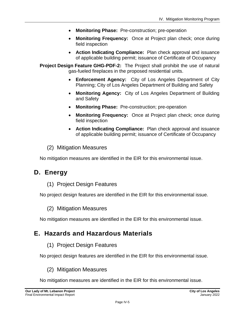- **Monitoring Phase:** Pre-construction; pre-operation
- **Monitoring Frequency:** Once at Project plan check; once during field inspection
- **Action Indicating Compliance:** Plan check approval and issuance of applicable building permit; issuance of Certificate of Occupancy

**Project Design Feature GHG-PDF-2:** The Project shall prohibit the use of natural gas-fueled fireplaces in the proposed residential units.

- **Enforcement Agency:** City of Los Angeles Department of City Planning; City of Los Angeles Department of Building and Safety
- **Monitoring Agency:** City of Los Angeles Department of Building and Safety
- **Monitoring Phase:** Pre-construction; pre-operation
- **Monitoring Frequency:** Once at Project plan check; once during field inspection
- **Action Indicating Compliance:** Plan check approval and issuance of applicable building permit; issuance of Certificate of Occupancy
- (2) Mitigation Measures

No mitigation measures are identified in the EIR for this environmental issue.

### **D. Energy**

(1) Project Design Features

No project design features are identified in the EIR for this environmental issue.

#### (2) Mitigation Measures

No mitigation measures are identified in the EIR for this environmental issue.

#### **E. Hazards and Hazardous Materials**

(1) Project Design Features

No project design features are identified in the EIR for this environmental issue.

(2) Mitigation Measures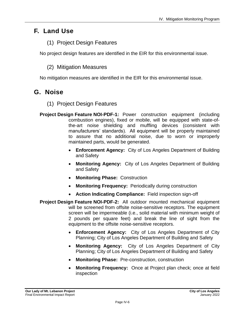# **F. Land Use**

#### (1) Project Design Features

No project design features are identified in the EIR for this environmental issue.

#### (2) Mitigation Measures

No mitigation measures are identified in the EIR for this environmental issue.

### **G. Noise**

- (1) Project Design Features
- **Project Design Feature NOI-PDF-1:** Power construction equipment (including combustion engines), fixed or mobile, will be equipped with state-ofthe-art noise shielding and muffling devices (consistent with manufacturers' standards). All equipment will be properly maintained to assure that no additional noise, due to worn or improperly maintained parts, would be generated.
	- **Enforcement Agency:** City of Los Angeles Department of Building and Safety
	- **Monitoring Agency:** City of Los Angeles Department of Building and Safety
	- **Monitoring Phase:** Construction
	- **Monitoring Frequency:** Periodically during construction
	- **Action Indicating Compliance:** Field inspection sign-off
- **Project Design Feature NOI-PDF-2:** All outdoor mounted mechanical equipment will be screened from offsite noise-sensitive receptors. The equipment screen will be impermeable (i.e., solid material with minimum weight of 2 pounds per square feet) and break the line of sight from the equipment to the offsite noise-sensitive receptors.
	- **Enforcement Agency:** City of Los Angeles Department of City Planning; City of Los Angeles Department of Building and Safety
	- **Monitoring Agency:** City of Los Angeles Department of City Planning; City of Los Angeles Department of Building and Safety
	- **Monitoring Phase:** Pre-construction, construction
	- **Monitoring Frequency:** Once at Project plan check; once at field inspection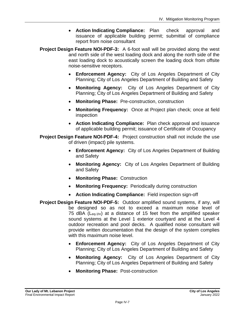- **Action Indicating Compliance:** Plan check approval and issuance of applicable building permit; submittal of compliance report from noise consultant
- **Project Design Feature NOI-PDF-3:** A 6-foot wall will be provided along the west and north side of the west loading dock and along the north side of the east loading dock to acoustically screen the loading dock from offsite noise-sensitive receptors.
	- **Enforcement Agency:** City of Los Angeles Department of City Planning; City of Los Angeles Department of Building and Safety
	- **Monitoring Agency:** City of Los Angeles Department of City Planning; City of Los Angeles Department of Building and Safety
	- **Monitoring Phase:** Pre-construction, construction
	- **Monitoring Frequency:** Once at Project plan check; once at field inspection
	- **Action Indicating Compliance:** Plan check approval and issuance of applicable building permit; issuance of Certificate of Occupancy

**Project Design Feature NOI-PDF-4:** Project construction shall not include the use of driven (impact) pile systems.

- **Enforcement Agency:** City of Los Angeles Department of Building and Safety
- **Monitoring Agency:** City of Los Angeles Department of Building and Safety
- **Monitoring Phase:** Construction
- **Monitoring Frequency:** Periodically during construction
- **Action Indicating Compliance:** Field inspection sign-off
- **Project Design Feature NOI-PDF-5:** Outdoor amplified sound systems, if any, will be designed so as not to exceed a maximum noise level of 75 dBA (Leq-1hr) at a distance of 15 feet from the amplified speaker sound systems at the Level 1 exterior courtyard and at the Level 4 outdoor recreation and pool decks. A qualified noise consultant will provide written documentation that the design of the system complies with this maximum noise level.
	- **Enforcement Agency:** City of Los Angeles Department of City Planning; City of Los Angeles Department of Building and Safety
	- **Monitoring Agency:** City of Los Angeles Department of City Planning; City of Los Angeles Department of Building and Safety
	- **Monitoring Phase:** Post-construction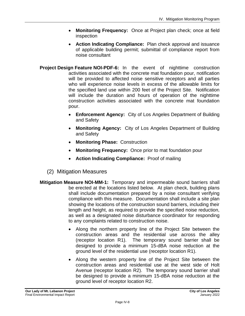- **Monitoring Frequency:** Once at Project plan check; once at field inspection
- **Action Indicating Compliance:** Plan check approval and issuance of applicable building permit; submittal of compliance report from noise consultant
- **Project Design Feature NOI-PDF-6:** In the event of nighttime construction activities associated with the concrete mat foundation pour, notification will be provided to affected noise sensitive receptors and all parties who will experience noise levels in excess of the allowable limits for the specified land use within 200 feet of the Project Site. Notification will include the duration and hours of operation of the nighttime construction activities associated with the concrete mat foundation pour.
	- **Enforcement Agency:** City of Los Angeles Department of Building and Safety
	- **Monitoring Agency:** City of Los Angeles Department of Building and Safety
	- **Monitoring Phase:** Construction
	- **Monitoring Frequency:** Once prior to mat foundation pour
	- **Action Indicating Compliance:** Proof of mailing
	- (2) Mitigation Measures
- **Mitigation Measure NOI-MM-1:** Temporary and impermeable sound barriers shall be erected at the locations listed below. At plan check, building plans shall include documentation prepared by a noise consultant verifying compliance with this measure. Documentation shall include a site plan showing the locations of the construction sound barriers, including their length and height, as required to provide the specified noise reduction, as well as a designated noise disturbance coordinator for responding to any complaints related to construction noise.
	- Along the northern property line of the Project Site between the construction areas and the residential use across the alley (receptor location R1). The temporary sound barrier shall be designed to provide a minimum 15-dBA noise reduction at the ground level of the residential use (receptor location R1).
	- Along the western property line of the Project Site between the construction areas and residential use at the west side of Holt Avenue (receptor location R2). The temporary sound barrier shall be designed to provide a minimum 15-dBA noise reduction at the ground level of receptor location R2.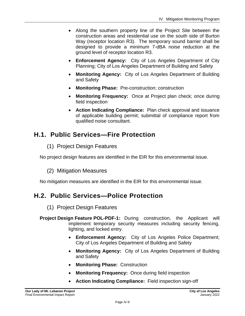- Along the southern property line of the Project Site between the construction areas and residential use on the south side of Burton Way (receptor location R3). The temporary sound barrier shall be designed to provide a minimum 7-dBA noise reduction at the ground level of receptor location R3.
- **Enforcement Agency:** City of Los Angeles Department of City Planning; City of Los Angeles Department of Building and Safety
- **Monitoring Agency:** City of Los Angeles Department of Building and Safety
- **Monitoring Phase:** Pre-construction; construction
- **Monitoring Frequency:** Once at Project plan check; once during field inspection
- **Action Indicating Compliance:** Plan check approval and issuance of applicable building permit; submittal of compliance report from qualified noise consultant.

# **H.1. Public Services—Fire Protection**

(1) Project Design Features

No project design features are identified in the EIR for this environmental issue.

#### (2) Mitigation Measures

No mitigation measures are identified in the EIR for this environmental issue.

# **H.2. Public Services—Police Protection**

#### (1) Project Design Features

- **Project Design Feature POL-PDF-1:** During construction, the Applicant will implement temporary security measures including security fencing, lighting, and locked entry.
	- **Enforcement Agency:** City of Los Angeles Police Department; City of Los Angeles Department of Building and Safety
	- **Monitoring Agency:** City of Los Angeles Department of Building and Safety
	- **Monitoring Phase:** Construction
	- **Monitoring Frequency:** Once during field inspection
	- **Action Indicating Compliance:** Field inspection sign-off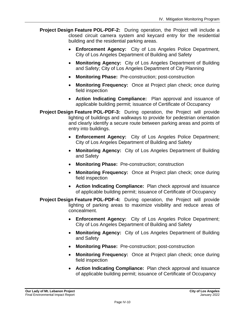- **Project Design Feature POL-PDF-2:** During operation, the Project will include a closed circuit camera system and keycard entry for the residential building and the residential parking areas.
	- **Enforcement Agency:** City of Los Angeles Police Department, City of Los Angeles Department of Building and Safety
	- **Monitoring Agency:** City of Los Angeles Department of Building and Safety; City of Los Angeles Department of City Planning
	- **Monitoring Phase:** Pre-construction; post-construction
	- **Monitoring Frequency:** Once at Project plan check; once during field inspection
	- **Action Indicating Compliance:** Plan approval and issuance of applicable building permit; issuance of Certificate of Occupancy
- **Project Design Feature POL-PDF-3:** During operation, the Project will provide lighting of buildings and walkways to provide for pedestrian orientation and clearly identify a secure route between parking areas and points of entry into buildings.
	- **Enforcement Agency:** City of Los Angeles Police Department; City of Los Angeles Department of Building and Safety
	- **Monitoring Agency:** City of Los Angeles Department of Building and Safety
	- **Monitoring Phase:** Pre-construction; construction
	- **Monitoring Frequency:** Once at Project plan check; once during field inspection
	- **Action Indicating Compliance:** Plan check approval and issuance of applicable building permit; issuance of Certificate of Occupancy
- **Project Design Feature POL-PDF-4:** During operation, the Project will provide lighting of parking areas to maximize visibility and reduce areas of concealment.
	- **Enforcement Agency:** City of Los Angeles Police Department; City of Los Angeles Department of Building and Safety
	- **Monitoring Agency:** City of Los Angeles Department of Building and Safety
	- **Monitoring Phase:** Pre-construction; post-construction
	- **Monitoring Frequency:** Once at Project plan check; once during field inspection
	- **Action Indicating Compliance:** Plan check approval and issuance of applicable building permit; issuance of Certificate of Occupancy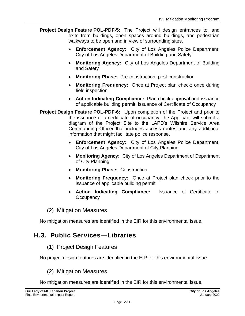- **Project Design Feature POL-PDF-5:** The Project will design entrances to, and exits from buildings, open spaces around buildings, and pedestrian walkways to be open and in view of surrounding sites.
	- **Enforcement Agency:** City of Los Angeles Police Department; City of Los Angeles Department of Building and Safety
	- **Monitoring Agency:** City of Los Angeles Department of Building and Safety
	- **Monitoring Phase:** Pre-construction; post-construction
	- **Monitoring Frequency:** Once at Project plan check; once during field inspection
	- **Action Indicating Compliance:** Plan check approval and issuance of applicable building permit; issuance of Certificate of Occupancy
- **Project Design Feature POL-PDF-6:** Upon completion of the Project and prior to the issuance of a certificate of occupancy, the Applicant will submit a diagram of the Project Site to the LAPD's Wilshire Service Area Commanding Officer that includes access routes and any additional information that might facilitate police response.
	- **Enforcement Agency:** City of Los Angeles Police Department; City of Los Angeles Department of City Planning
	- **Monitoring Agency:** City of Los Angeles Department of Department of City Planning
	- **Monitoring Phase:** Construction
	- **Monitoring Frequency:** Once at Project plan check prior to the issuance of applicable building permit
	- **Action Indicating Compliance:** Issuance of Certificate of **Occupancy**
	- (2) Mitigation Measures

No mitigation measures are identified in the EIR for this environmental issue.

# **H.3. Public Services—Libraries**

(1) Project Design Features

No project design features are identified in the EIR for this environmental issue.

(2) Mitigation Measures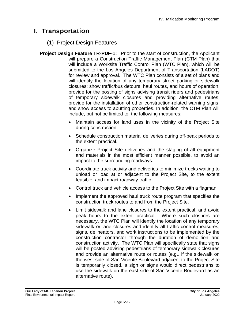# **I. Transportation**

#### (1) Project Design Features

- **Project Design Feature TR-PDF-1:** Prior to the start of construction, the Applicant will prepare a Construction Traffic Management Plan (CTM Plan) that will include a Worksite Traffic Control Plan (WTC Plan), which will be submitted to the Los Angeles Department of Transportation (LADOT) for review and approval. The WTC Plan consists of a set of plans and will identify the location of any temporary street parking or sidewalk closures; show traffic/bus detours, haul routes, and hours of operation; provide for the posting of signs advising transit riders and pedestrians of temporary sidewalk closures and providing alternative routes; provide for the installation of other construction-related warning signs; and show access to abutting properties. In addition, the CTM Plan will include, but not be limited to, the following measures:
	- Maintain access for land uses in the vicinity of the Project Site during construction.
	- Schedule construction material deliveries during off-peak periods to the extent practical.
	- Organize Project Site deliveries and the staging of all equipment and materials in the most efficient manner possible, to avoid an impact to the surrounding roadways.
	- Coordinate truck activity and deliveries to minimize trucks waiting to unload or load at or adjacent to the Project Site, to the extent feasible, and impact roadway traffic.
	- Control truck and vehicle access to the Project Site with a flagman.
	- Implement the approved haul truck route program that specifies the construction truck routes to and from the Project Site.
	- Limit sidewalk and lane closures to the extent practical, and avoid peak hours to the extent practical. Where such closures are necessary, the WTC Plan will identify the location of any temporary sidewalk or lane closures and identify all traffic control measures, signs, delineators, and work instructions to be implemented by the construction contractor through the duration of demolition and construction activity. The WTC Plan will specifically state that signs will be posted advising pedestrians of temporary sidewalk closures and provide an alternative route or routes (e.g., if the sidewalk on the west side of San Vicente Boulevard adjacent to the Project Site is temporarily closed, a sign or signs would direct pedestrians to use the sidewalk on the east side of San Vicente Boulevard as an alternative route).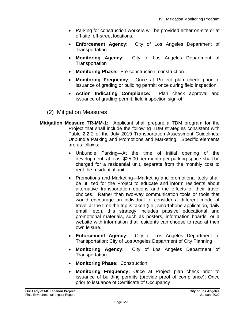- Parking for construction workers will be provided either on-site or at off-site, off-street locations.
- **Enforcement Agency:** City of Los Angeles Department of **Transportation**
- **Monitoring Agency:** City of Los Angeles Department of **Transportation**
- **Monitoring Phase:** Pre-construction; construction
- **Monitoring Frequency**: Once at Project plan check prior to issuance of grading or building permit; once during field inspection
- **Action Indicating Compliance:** Plan check approval and issuance of grading permit; field inspection sign-off
- (2) Mitigation Measures
- **Mitigation Measure TR-MM-1:** Applicant shall prepare a TDM program for the Project that shall include the following TDM strategies consistent with Table 2.2-2 of the July 2019 Transportation Assessment Guidelines: Unbundle Parking and Promotions and Marketing. Specific elements are as follows:
	- Unbundle Parking—At the time of initial opening of the development, at least \$25.00 per month per parking space shall be charged for a residential unit, separate from the monthly cost to rent the residential unit.
	- Promotions and Marketing—Marketing and promotional tools shall be utilized for the Project to educate and inform residents about alternative transportation options and the effects of their travel choices. Rather than two-way communication tools or tools that would encourage an individual to consider a different mode of travel at the time the trip is taken (i.e., smartphone application, daily email, etc.), this strategy includes passive educational and promotional materials, such as posters, information boards, or a website with information that residents can choose to read at their own leisure.
	- **Enforcement Agency:** City of Los Angeles Department of Transportation; City of Los Angeles Department of City Planning
	- **Monitoring Agency:** City of Los Angeles Department of **Transportation**
	- **Monitoring Phase:** Construction
	- **Monitoring Frequency:** Once at Project plan check prior to issuance of building permits (provide proof of compliance); Once prior to issuance of Certificate of Occupancy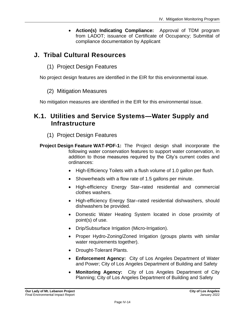• **Action(s) Indicating Compliance:** Approval of TDM program from LADOT; issuance of Certificate of Occupancy; Submittal of compliance documentation by Applicant

# **J. Tribal Cultural Resources**

(1) Project Design Features

No project design features are identified in the EIR for this environmental issue.

#### (2) Mitigation Measures

No mitigation measures are identified in the EIR for this environmental issue.

### **K.1. Utilities and Service Systems—Water Supply and Infrastructure**

- (1) Project Design Features
- **Project Design Feature WAT-PDF-1:** The Project design shall incorporate the following water conservation features to support water conservation, in addition to those measures required by the City's current codes and ordinances:
	- High-Efficiency Toilets with a flush volume of 1.0 gallon per flush.
	- Showerheads with a flow rate of 1.5 gallons per minute.
	- High-efficiency Energy Star–rated residential and commercial clothes washers.
	- High-efficiency Energy Star–rated residential dishwashers, should dishwashers be provided.
	- Domestic Water Heating System located in close proximity of point(s) of use.
	- Drip/Subsurface Irrigation (Micro-Irrigation).
	- Proper Hydro-Zoning/Zoned Irrigation (groups plants with similar water requirements together).
	- Drought-Tolerant Plants.
	- **Enforcement Agency:** City of Los Angeles Department of Water and Power; City of Los Angeles Department of Building and Safety
	- **Monitoring Agency:** City of Los Angeles Department of City Planning; City of Los Angeles Department of Building and Safety